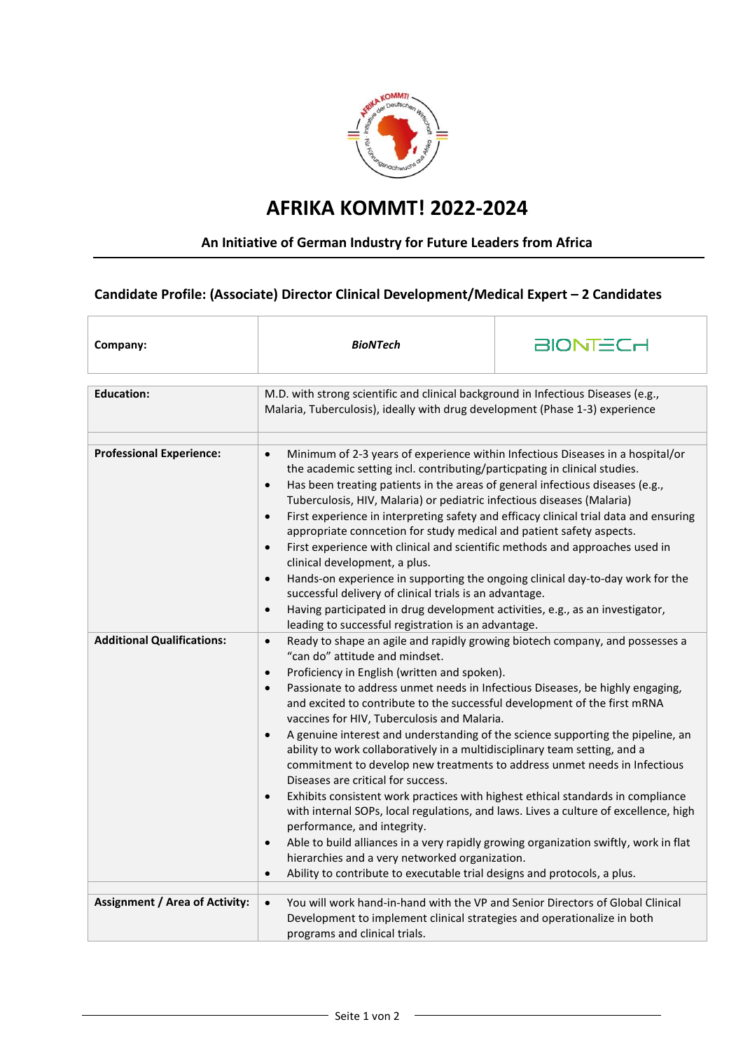

## **AFRIKA KOMMT! 2022-2024**

## **An Initiative of German Industry for Future Leaders from Africa**

**Candidate Profile: (Associate) Director Clinical Development/Medical Expert – 2 Candidates**

| Company:                              | <b>BioNTech</b>                                                                                                                                                                                                                                                                                                                                                                                                                                                                                                                                                                                                                                                                                                                                                                                                                                                                                                                                                                                                                                                                                                                                                               | <b>BIONTECH</b> |
|---------------------------------------|-------------------------------------------------------------------------------------------------------------------------------------------------------------------------------------------------------------------------------------------------------------------------------------------------------------------------------------------------------------------------------------------------------------------------------------------------------------------------------------------------------------------------------------------------------------------------------------------------------------------------------------------------------------------------------------------------------------------------------------------------------------------------------------------------------------------------------------------------------------------------------------------------------------------------------------------------------------------------------------------------------------------------------------------------------------------------------------------------------------------------------------------------------------------------------|-----------------|
| <b>Education:</b>                     | M.D. with strong scientific and clinical background in Infectious Diseases (e.g.,<br>Malaria, Tuberculosis), ideally with drug development (Phase 1-3) experience                                                                                                                                                                                                                                                                                                                                                                                                                                                                                                                                                                                                                                                                                                                                                                                                                                                                                                                                                                                                             |                 |
| <b>Professional Experience:</b>       | Minimum of 2-3 years of experience within Infectious Diseases in a hospital/or<br>$\bullet$<br>the academic setting incl. contributing/particpating in clinical studies.<br>Has been treating patients in the areas of general infectious diseases (e.g.,<br>$\bullet$<br>Tuberculosis, HIV, Malaria) or pediatric infectious diseases (Malaria)<br>First experience in interpreting safety and efficacy clinical trial data and ensuring<br>$\bullet$<br>appropriate conncetion for study medical and patient safety aspects.<br>First experience with clinical and scientific methods and approaches used in<br>$\bullet$<br>clinical development, a plus.<br>Hands-on experience in supporting the ongoing clinical day-to-day work for the<br>successful delivery of clinical trials is an advantage.<br>Having participated in drug development activities, e.g., as an investigator,<br>$\bullet$<br>leading to successful registration is an advantage.                                                                                                                                                                                                                |                 |
| <b>Additional Qualifications:</b>     | Ready to shape an agile and rapidly growing biotech company, and possesses a<br>$\bullet$<br>"can do" attitude and mindset.<br>Proficiency in English (written and spoken).<br>$\bullet$<br>Passionate to address unmet needs in Infectious Diseases, be highly engaging,<br>$\bullet$<br>and excited to contribute to the successful development of the first mRNA<br>vaccines for HIV, Tuberculosis and Malaria.<br>A genuine interest and understanding of the science supporting the pipeline, an<br>$\bullet$<br>ability to work collaboratively in a multidisciplinary team setting, and a<br>commitment to develop new treatments to address unmet needs in Infectious<br>Diseases are critical for success.<br>Exhibits consistent work practices with highest ethical standards in compliance<br>$\bullet$<br>with internal SOPs, local regulations, and laws. Lives a culture of excellence, high<br>performance, and integrity.<br>Able to build alliances in a very rapidly growing organization swiftly, work in flat<br>hierarchies and a very networked organization.<br>Ability to contribute to executable trial designs and protocols, a plus.<br>$\bullet$ |                 |
| <b>Assignment / Area of Activity:</b> | You will work hand-in-hand with the VP and Senior Directors of Global Clinical<br>$\bullet$<br>Development to implement clinical strategies and operationalize in both<br>programs and clinical trials.                                                                                                                                                                                                                                                                                                                                                                                                                                                                                                                                                                                                                                                                                                                                                                                                                                                                                                                                                                       |                 |